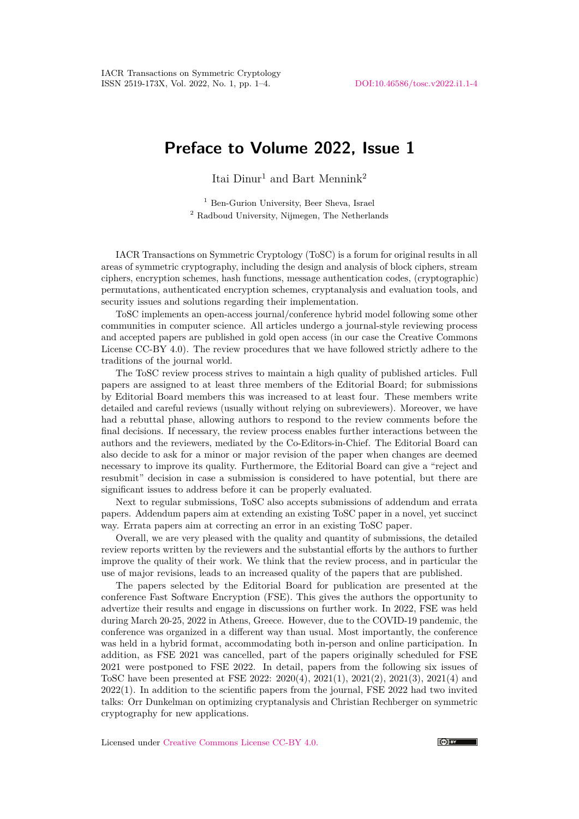## **Preface to Volume 2022, Issue 1**

Itai  $Dimu^1$  and Bart Mennink<sup>2</sup>

<sup>1</sup> Ben-Gurion University, Beer Sheva, Israel <sup>2</sup> Radboud University, Nijmegen, The Netherlands

IACR Transactions on Symmetric Cryptology (ToSC) is a forum for original results in all areas of symmetric cryptography, including the design and analysis of block ciphers, stream ciphers, encryption schemes, hash functions, message authentication codes, (cryptographic) permutations, authenticated encryption schemes, cryptanalysis and evaluation tools, and security issues and solutions regarding their implementation.

ToSC implements an open-access journal/conference hybrid model following some other communities in computer science. All articles undergo a journal-style reviewing process and accepted papers are published in gold open access (in our case the Creative Commons License CC-BY 4.0). The review procedures that we have followed strictly adhere to the traditions of the journal world.

The ToSC review process strives to maintain a high quality of published articles. Full papers are assigned to at least three members of the Editorial Board; for submissions by Editorial Board members this was increased to at least four. These members write detailed and careful reviews (usually without relying on subreviewers). Moreover, we have had a rebuttal phase, allowing authors to respond to the review comments before the final decisions. If necessary, the review process enables further interactions between the authors and the reviewers, mediated by the Co-Editors-in-Chief. The Editorial Board can also decide to ask for a minor or major revision of the paper when changes are deemed necessary to improve its quality. Furthermore, the Editorial Board can give a "reject and resubmit" decision in case a submission is considered to have potential, but there are significant issues to address before it can be properly evaluated.

Next to regular submissions, ToSC also accepts submissions of addendum and errata papers. Addendum papers aim at extending an existing ToSC paper in a novel, yet succinct way. Errata papers aim at correcting an error in an existing ToSC paper.

Overall, we are very pleased with the quality and quantity of submissions, the detailed review reports written by the reviewers and the substantial efforts by the authors to further improve the quality of their work. We think that the review process, and in particular the use of major revisions, leads to an increased quality of the papers that are published.

The papers selected by the Editorial Board for publication are presented at the conference Fast Software Encryption (FSE). This gives the authors the opportunity to advertize their results and engage in discussions on further work. In 2022, FSE was held during March 20-25, 2022 in Athens, Greece. However, due to the COVID-19 pandemic, the conference was organized in a different way than usual. Most importantly, the conference was held in a hybrid format, accommodating both in-person and online participation. In addition, as FSE 2021 was cancelled, part of the papers originally scheduled for FSE 2021 were postponed to FSE 2022. In detail, papers from the following six issues of ToSC have been presented at FSE 2022: 2020(4), 2021(1), 2021(2), 2021(3), 2021(4) and 2022(1). In addition to the scientific papers from the journal, FSE 2022 had two invited talks: Orr Dunkelman on optimizing cryptanalysis and Christian Rechberger on symmetric cryptography for new applications.

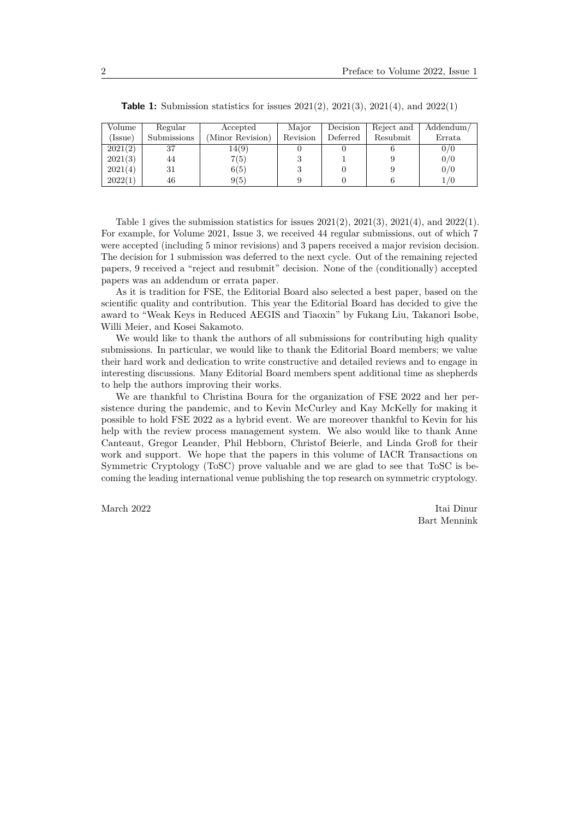<span id="page-1-0"></span>

| Volume  | Regular     | Accepted         | Major    | Decision | Reject and | Addendum/ |
|---------|-------------|------------------|----------|----------|------------|-----------|
| [Issue] | Submissions | (Minor Revision) | Revision | Deferred | Resubmit   | Errata    |
| 2021(2) | 37          | 14(9)            |          |          |            | 0/0       |
| 2021(3) | 44          | 7(5)             |          |          |            | 0/0       |
| 2021(4) | 31          | 6(5)             |          |          |            | 0/0       |
| 2022(1) | 46          | 9(5)             |          |          |            |           |

**Table 1:** Submission statistics for issues 2021(2), 2021(3), 2021(4), and 2022(1)

Table [1](#page-1-0) gives the submission statistics for issues  $2021(2)$ ,  $2021(3)$ ,  $2021(4)$ , and  $2022(1)$ . For example, for Volume 2021, Issue 3, we received 44 regular submissions, out of which 7 were accepted (including 5 minor revisions) and 3 papers received a major revision decision. The decision for 1 submission was deferred to the next cycle. Out of the remaining rejected papers, 9 received a "reject and resubmit" decision. None of the (conditionally) accepted papers was an addendum or errata paper.

As it is tradition for FSE, the Editorial Board also selected a best paper, based on the scientific quality and contribution. This year the Editorial Board has decided to give the award to "Weak Keys in Reduced AEGIS and Tiaoxin" by Fukang Liu, Takanori Isobe, Willi Meier, and Kosei Sakamoto.

We would like to thank the authors of all submissions for contributing high quality submissions. In particular, we would like to thank the Editorial Board members; we value their hard work and dedication to write constructive and detailed reviews and to engage in interesting discussions. Many Editorial Board members spent additional time as shepherds to help the authors improving their works.

We are thankful to Christina Boura for the organization of FSE 2022 and her persistence during the pandemic, and to Kevin McCurley and Kay McKelly for making it possible to hold FSE 2022 as a hybrid event. We are moreover thankful to Kevin for his help with the review process management system. We also would like to thank Anne Canteaut, Gregor Leander, Phil Hebborn, Christof Beierle, and Linda Groß for their work and support. We hope that the papers in this volume of IACR Transactions on Symmetric Cryptology (ToSC) prove valuable and we are glad to see that ToSC is becoming the leading international venue publishing the top research on symmetric cryptology.

March 2022 Itai Dinur Bart Mennink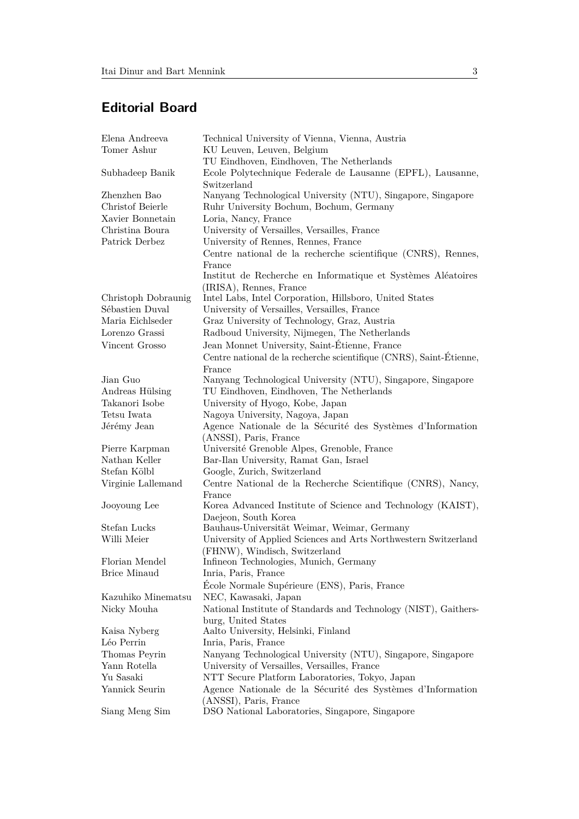## **Editorial Board**

| Elena Andreeva      | Technical University of Vienna, Vienna, Austria                                      |  |  |
|---------------------|--------------------------------------------------------------------------------------|--|--|
| Tomer Ashur         | KU Leuven, Leuven, Belgium                                                           |  |  |
|                     | TU Eindhoven, Eindhoven, The Netherlands                                             |  |  |
| Subhadeep Banik     | Ecole Polytechnique Federale de Lausanne (EPFL), Lausanne,<br>Switzerland            |  |  |
| Zhenzhen Bao        | Nanyang Technological University (NTU), Singapore, Singapore                         |  |  |
| Christof Beierle    | Ruhr University Bochum, Bochum, Germany                                              |  |  |
| Xavier Bonnetain    | Loria, Nancy, France                                                                 |  |  |
| Christina Boura     | University of Versailles, Versailles, France                                         |  |  |
| Patrick Derbez      | University of Rennes, Rennes, France                                                 |  |  |
|                     | Centre national de la recherche scientifique (CNRS), Rennes,                         |  |  |
|                     | France                                                                               |  |  |
|                     | Institut de Recherche en Informatique et Systèmes Aléatoires                         |  |  |
|                     | (IRISA), Rennes, France                                                              |  |  |
| Christoph Dobraunig | Intel Labs, Intel Corporation, Hillsboro, United States                              |  |  |
| Sébastien Duval     | University of Versailles, Versailles, France                                         |  |  |
| Maria Eichlseder    | Graz University of Technology, Graz, Austria                                         |  |  |
| Lorenzo Grassi      | Radboud University, Nijmegen, The Netherlands                                        |  |  |
| Vincent Grosso      | Jean Monnet University, Saint-Étienne, France                                        |  |  |
|                     | Centre national de la recherche scientifique (CNRS), Saint-Étienne,                  |  |  |
|                     | France                                                                               |  |  |
| Jian Guo            | Nanyang Technological University (NTU), Singapore, Singapore                         |  |  |
| Andreas Hülsing     | TU Eindhoven, Eindhoven, The Netherlands                                             |  |  |
| Takanori Isobe      | University of Hyogo, Kobe, Japan                                                     |  |  |
| Tetsu Iwata         | Nagoya University, Nagoya, Japan                                                     |  |  |
| Jérémy Jean         | Agence Nationale de la Sécurité des Systèmes d'Information                           |  |  |
|                     | (ANSSI), Paris, France                                                               |  |  |
| Pierre Karpman      | Université Grenoble Alpes, Grenoble, France                                          |  |  |
| Nathan Keller       | Bar-Ilan University, Ramat Gan, Israel                                               |  |  |
| Stefan Kölbl        | Google, Zurich, Switzerland                                                          |  |  |
| Virginie Lallemand  | Centre National de la Recherche Scientifique (CNRS), Nancy,<br>France                |  |  |
| Jooyoung Lee        | Korea Advanced Institute of Science and Technology (KAIST),                          |  |  |
|                     | Daejeon, South Korea                                                                 |  |  |
| Stefan Lucks        | Bauhaus-Universität Weimar, Weimar, Germany                                          |  |  |
| Willi Meier         | University of Applied Sciences and Arts Northwestern Switzerland                     |  |  |
|                     | (FHNW), Windisch, Switzerland                                                        |  |  |
| Florian Mendel      | Infineon Technologies, Munich, Germany                                               |  |  |
| <b>Brice Minaud</b> | Inria, Paris, France                                                                 |  |  |
|                     | École Normale Supérieure (ENS), Paris, France                                        |  |  |
| Kazuhiko Minematsu  | NEC, Kawasaki, Japan                                                                 |  |  |
| Nicky Mouha         | National Institute of Standards and Technology (NIST), Gaithers-                     |  |  |
|                     | burg, United States                                                                  |  |  |
| Kaisa Nyberg        | Aalto University, Helsinki, Finland                                                  |  |  |
| Léo Perrin          | Inria, Paris, France                                                                 |  |  |
| Thomas Peyrin       | Nanyang Technological University (NTU), Singapore, Singapore                         |  |  |
| Yann Rotella        | University of Versailles, Versailles, France                                         |  |  |
| Yu Sasaki           | NTT Secure Platform Laboratories, Tokyo, Japan                                       |  |  |
| Yannick Seurin      | Agence Nationale de la Sécurité des Systèmes d'Information<br>(ANSSI), Paris, France |  |  |
| Siang Meng Sim      | DSO National Laboratories, Singapore, Singapore                                      |  |  |